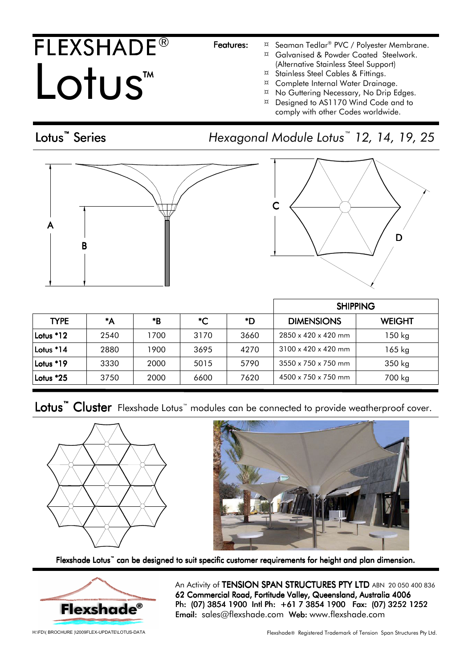## FLEXSHADE® Lotus<sup>TM</sup> TM

Lotus<sup>™</sup> Series

- Features: ¤ Seaman Tedlar® PVC / Polyester Membrane.
	- ¤ Galvanised & Powder Coated Steelwork. (Alternative Stainless Steel Support)
	- ¤ Stainless Steel Cables & Fittings.
	- ¤ Complete Internal Water Drainage.
	- $\alpha$  No Guttering Necessary, No Drip Edges.
	- ¤ Designed to AS1170 Wind Code and to comply with other Codes worldwide.

### Series Hexagonal Module Lotus™ 12, 14, 19, 25



| $\mathsf C$ |   |
|-------------|---|
|             | L |

|             |      |      |      |      | <b>SHIPPING</b>                 |               |
|-------------|------|------|------|------|---------------------------------|---------------|
| <b>TYPE</b> | *A   | *B   | *C   | *D   | <b>DIMENSIONS</b>               | <b>WEIGHT</b> |
| Lotus $*12$ | 2540 | 1700 | 3170 | 3660 | $2850 \times 420 \times 420$ mm | 150 kg        |
| Lotus *14   | 2880 | 1900 | 3695 | 4270 | $3100 \times 420 \times 420$ mm | $165$ kg      |
| Lotus *19   | 3330 | 2000 | 5015 | 5790 | $3550 \times 750 \times 750$ mm | 350 kg        |
| Lotus $*25$ | 3750 | 2000 | 6600 | 7620 | 4500 x 750 x 750 mm             | 700 kg        |

Lotus<sup>™</sup> Cluster Flexshade Lotus™ modules can be connected to provide weatherproof cover.





Flexshade Lotus<sup>"</sup> can be designed to suit specific customer requirements for height and plan dimension.



An Activity of TENSION SPAN STRUCTURES PTY LTD ABN 20 050 400 836 62 Commercial Road, Fortitude Valley, Queensland, Australia 4006 Ph: (07) 3854 1900 Intl Ph: +61 7 3854 1900 Fax: (07) 3252 1252 Email: sales@flexshade.com Web: www.flexshade.com